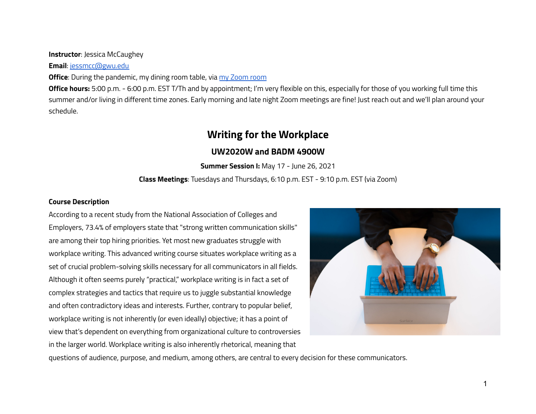### **Instructor**: Jessica McCaughey

**Email**: [jessmcc@gwu.edu](mailto:jessmcc@gwu.edu)

**Office**: During the pandemic, my dining room table, via my [Zoom](https://gwu-edu.zoom.us/j/2587653077) room

**Office hours:** 5:00 p.m. - 6:00 p.m. EST T/Th and by appointment; I'm very flexible on this, especially for those of you working full time this summer and/or living in different time zones. Early morning and late night Zoom meetings are fine! Just reach out and we'll plan around your schedule.

# **Writing for the Workplace**

# **UW2020W and BADM 4900W**

**Summer Session I:** May 17 - June 26, 2021

**Class Meetings**: Tuesdays and Thursdays, 6:10 p.m. EST - 9:10 p.m. EST (via Zoom)

### **Course Description**

According to a recent study from the National Association of Colleges and Employers, 73.4% of employers state that "strong written communication skills" are among their top hiring priorities. Yet most new graduates struggle with workplace writing. This advanced writing course situates workplace writing as a set of crucial problem-solving skills necessary for all communicators in all fields. Although it often seems purely "practical," workplace writing is in fact a set of complex strategies and tactics that require us to juggle substantial knowledge and often contradictory ideas and interests. Further, contrary to popular belief, workplace writing is not inherently (or even ideally) objective; it has a point of view that's dependent on everything from organizational culture to controversies in the larger world. Workplace writing is also inherently rhetorical, meaning that



questions of audience, purpose, and medium, among others, are central to every decision for these communicators.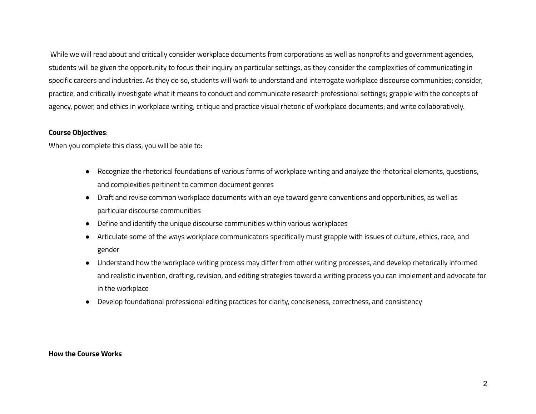While we will read about and critically consider workplace documents from corporations as well as nonprofits and government agencies, students will be given the opportunity to focus their inquiry on particular settings, as they consider the complexities of communicating in specific careers and industries. As they do so, students will work to understand and interrogate workplace discourse communities; consider, practice, and critically investigate what it means to conduct and communicate research professional settings; grapple with the concepts of agency, power, and ethics in workplace writing; critique and practice visual rhetoric of workplace documents; and write collaboratively.

#### **Course Objectives**:

When you complete this class, you will be able to:

- Recognize the rhetorical foundations of various forms of workplace writing and analyze the rhetorical elements, questions, and complexities pertinent to common document genres
- Draft and revise common workplace documents with an eye toward genre conventions and opportunities, as well as particular discourse communities
- Define and identify the unique discourse communities within various workplaces
- Articulate some of the ways workplace communicators specifically must grapple with issues of culture, ethics, race, and gender
- Understand how the workplace writing process may differ from other writing processes, and develop rhetorically informed and realistic invention, drafting, revision, and editing strategies toward a writing process you can implement and advocate for in the workplace
- Develop foundational professional editing practices for clarity, conciseness, correctness, and consistency

#### **How the Course Works**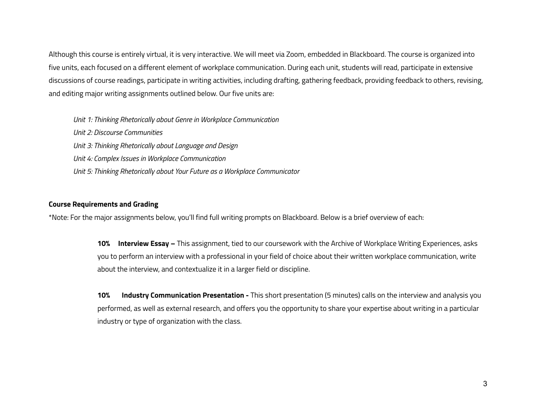Although this course is entirely virtual, it is very interactive. We will meet via Zoom, embedded in Blackboard. The course is organized into five units, each focused on a different element of workplace communication. During each unit, students will read, participate in extensive discussions of course readings, participate in writing activities, including drafting, gathering feedback, providing feedback to others, revising, and editing major writing assignments outlined below. Our five units are:

*Unit 1: Thinking Rhetorically about Genre in Workplace Communication*

*Unit 2: Discourse Communities Unit 3: Thinking Rhetorically about Language and Design Unit 4: Complex Issues in Workplace Communication Unit 5: Thinking Rhetorically about Your Future as a Workplace Communicator*

### **Course Requirements and Grading**

\*Note: For the major assignments below, you'll find full writing prompts on Blackboard. Below is a brief overview of each:

**10% Interview Essay –** This assignment, tied to our coursework with the Archive of Workplace Writing Experiences, asks you to perform an interview with a professional in your field of choice about their written workplace communication, write about the interview, and contextualize it in a larger field or discipline.

**10% Industry Communication Presentation -** This short presentation (5 minutes) calls on the interview and analysis you performed, as well as external research, and offers you the opportunity to share your expertise about writing in a particular industry or type of organization with the class.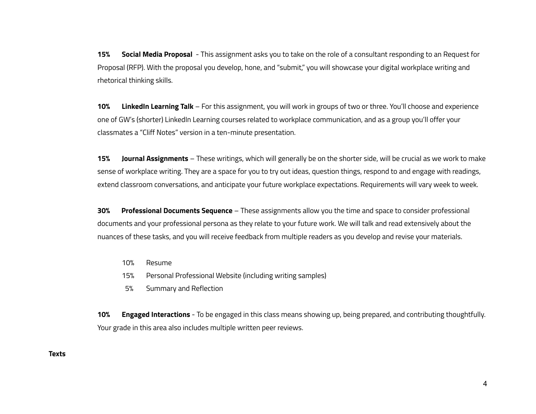**15% Social Media Proposal** - This assignment asks you to take on the role of a consultant responding to an Request for Proposal (RFP). With the proposal you develop, hone, and "submit," you will showcase your digital workplace writing and rhetorical thinking skills.

**10% LinkedIn Learning Talk** – For this assignment, you will work in groups of two or three. You'll choose and experience one of GW's (shorter) LinkedIn Learning courses related to workplace communication, and as a group you'll offer your classmates a "Cliff Notes" version in a ten-minute presentation.

**15% Journal Assignments** – These writings, which will generally be on the shorter side, will be crucial as we work to make sense of workplace writing. They are a space for you to try out ideas, question things, respond to and engage with readings, extend classroom conversations, and anticipate your future workplace expectations. Requirements will vary week to week.

**30% Professional Documents Sequence** – These assignments allow you the time and space to consider professional documents and your professional persona as they relate to your future work. We will talk and read extensively about the nuances of these tasks, and you will receive feedback from multiple readers as you develop and revise your materials.

- 10% Resume
- 15% Personal Professional Website (including writing samples)
- 5% Summary and Reflection

**10% Engaged Interactions** - To be engaged in this class means showing up, being prepared, and contributing thoughtfully. Your grade in this area also includes multiple written peer reviews.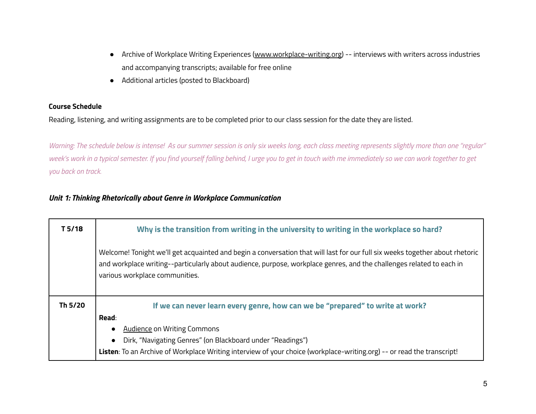- Archive of Workplace Writing Experiences [\(www.workplace-writing.org\)](http://www.workplace-writing.org) -- interviews with writers across industries and accompanying transcripts; available for free online
- Additional articles (posted to Blackboard)

### **Course Schedule**

Reading, listening, and writing assignments are to be completed prior to our class session for the date they are listed.

Warning: The schedule below is intense! As our summer session is only six weeks long, each class meeting represents slightly more than one "regular" week's work in a typical semester. If you find yourself falling behind, I urge you to get in touch with me immediately so we can work together to get *you back on track.*

## *Unit 1: Thinking Rhetorically about Genre in Workplace Communication*

| T <sub>5/18</sub> | Why is the transition from writing in the university to writing in the workplace so hard?                                                                                                                                                                                              |
|-------------------|----------------------------------------------------------------------------------------------------------------------------------------------------------------------------------------------------------------------------------------------------------------------------------------|
|                   | Welcome! Tonight we'll get acquainted and begin a conversation that will last for our full six weeks together about rhetoric<br>and workplace writing--particularly about audience, purpose, workplace genres, and the challenges related to each in<br>various workplace communities. |
| Th 5/20           | If we can never learn every genre, how can we be "prepared" to write at work?                                                                                                                                                                                                          |
|                   | Read:                                                                                                                                                                                                                                                                                  |
|                   | <b>Audience on Writing Commons</b>                                                                                                                                                                                                                                                     |
|                   | Dirk, "Navigating Genres" (on Blackboard under "Readings")                                                                                                                                                                                                                             |
|                   | Listen: To an Archive of Workplace Writing interview of your choice (workplace-writing.org) -- or read the transcript!                                                                                                                                                                 |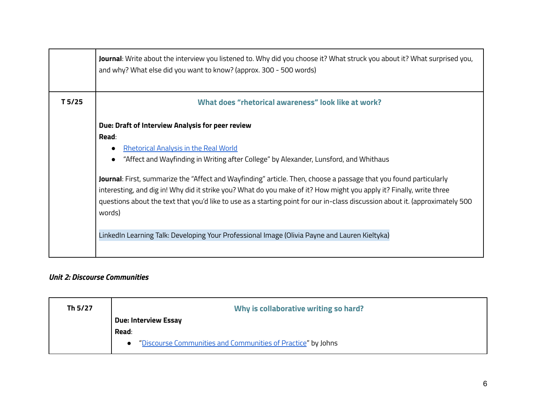|                   | <b>Journal</b> : Write about the interview you listened to. Why did you choose it? What struck you about it? What surprised you,<br>and why? What else did you want to know? (approx. 300 - 500 words)                                                                                                                                                                                                                                                                                                                                                                                            |
|-------------------|---------------------------------------------------------------------------------------------------------------------------------------------------------------------------------------------------------------------------------------------------------------------------------------------------------------------------------------------------------------------------------------------------------------------------------------------------------------------------------------------------------------------------------------------------------------------------------------------------|
| T <sub>5/25</sub> | What does "rhetorical awareness" look like at work?                                                                                                                                                                                                                                                                                                                                                                                                                                                                                                                                               |
|                   | Due: Draft of Interview Analysis for peer review<br>Read:<br><b>Rhetorical Analysis in the Real World</b><br>"Affect and Wayfinding in Writing after College" by Alexander, Lunsford, and Whithaus<br><b>Journal</b> : First, summarize the "Affect and Wayfinding" article. Then, choose a passage that you found particularly<br>interesting, and dig in! Why did it strike you? What do you make of it? How might you apply it? Finally, write three<br>questions about the text that you'd like to use as a starting point for our in-class discussion about it. (approximately 500<br>words) |
|                   | LinkedIn Learning Talk: Developing Your Professional Image (Olivia Payne and Lauren Kieltyka)                                                                                                                                                                                                                                                                                                                                                                                                                                                                                                     |

# *Unit 2: Discourse Communities*

| Th 5/27 | Why is collaborative writing so hard?                          |
|---------|----------------------------------------------------------------|
|         | <b>Due: Interview Essay</b>                                    |
|         | Read:                                                          |
|         | • "Discourse Communities and Communities of Practice" by Johns |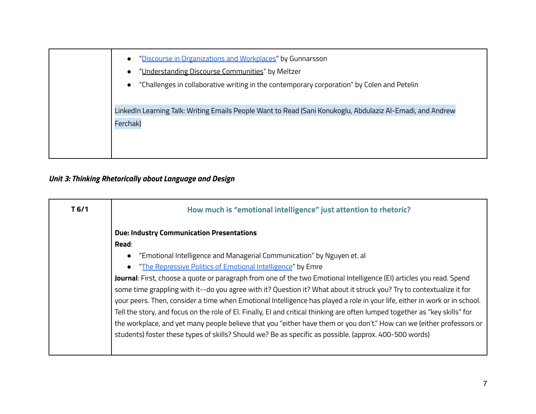| $\bullet$ | "Discourse in Organizations and Workplaces" by Gunnarsson                                                  |
|-----------|------------------------------------------------------------------------------------------------------------|
| $\bullet$ | "Understanding Discourse Communities" by Meltzer                                                           |
|           | "Challenges in collaborative writing in the contemporary corporation" by Colen and Petelin                 |
|           |                                                                                                            |
|           | LinkedIn Learning Talk: Writing Emails People Want to Read (Sani Konukoglu, Abdulaziz Al-Emadi, and Andrew |
| Ferchak)  |                                                                                                            |
|           |                                                                                                            |
|           |                                                                                                            |
|           |                                                                                                            |

# *Unit 3: Thinking Rhetorically about Language and Design*

| T <sub>6/1</sub> | How much is "emotional intelligence" just attention to rhetoric?                                                                                                                                                                                                                                                                                                                                                                                                                                                                                                                                                                                                                                                                                                                                                                                                                                     |
|------------------|------------------------------------------------------------------------------------------------------------------------------------------------------------------------------------------------------------------------------------------------------------------------------------------------------------------------------------------------------------------------------------------------------------------------------------------------------------------------------------------------------------------------------------------------------------------------------------------------------------------------------------------------------------------------------------------------------------------------------------------------------------------------------------------------------------------------------------------------------------------------------------------------------|
|                  | <b>Due: Industry Communication Presentations</b><br>Read:                                                                                                                                                                                                                                                                                                                                                                                                                                                                                                                                                                                                                                                                                                                                                                                                                                            |
|                  | "Emotional Intelligence and Managerial Communication" by Nguyen et. al<br>"The Repressive Politics of Emotional Intelligence" by Emre<br>$\bullet$<br>Journal: First, choose a quote or paragraph from one of the two Emotional Intelligence (EI) articles you read. Spend<br>some time grappling with it--do you agree with it? Question it? What about it struck you? Try to contextualize it for<br>your peers. Then, consider a time when Emotional Intelligence has played a role in your life, either in work or in school.<br>Tell the story, and focus on the role of El. Finally, El and critical thinking are often lumped together as "key skills" for<br>the workplace, and yet many people believe that you "either have them or you don't." How can we (either professors or<br>students) foster these types of skills? Should we? Be as specific as possible. (approx. 400-500 words) |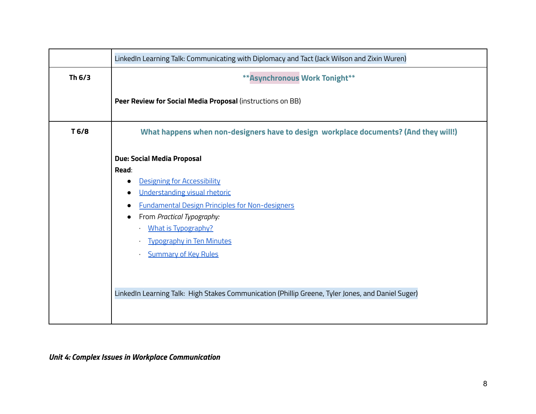|        | LinkedIn Learning Talk: Communicating with Diplomacy and Tact (Jack Wilson and Zixin Wuren)                                                                                                                                                                                                                                                                                                                                                   |
|--------|-----------------------------------------------------------------------------------------------------------------------------------------------------------------------------------------------------------------------------------------------------------------------------------------------------------------------------------------------------------------------------------------------------------------------------------------------|
| Th 6/3 | ** Asynchronous Work Tonight**                                                                                                                                                                                                                                                                                                                                                                                                                |
|        | Peer Review for Social Media Proposal (instructions on BB)                                                                                                                                                                                                                                                                                                                                                                                    |
| T 6/8  | What happens when non-designers have to design workplace documents? (And they will!)                                                                                                                                                                                                                                                                                                                                                          |
|        | Due: Social Media Proposal<br>Read:<br>Designing for Accessibility<br>$\bullet$<br>Understanding visual rhetoric<br><b>Fundamental Design Principles for Non-designers</b><br>$\bullet$<br>From Practical Typography:<br><b>What is Typography?</b><br><b>Typography in Ten Minutes</b><br>$\blacksquare$<br><b>Summary of Key Rules</b><br>LinkedIn Learning Talk: High Stakes Communication (Phillip Greene, Tyler Jones, and Daniel Suger) |

*Unit 4: Complex Issues in Workplace Communication*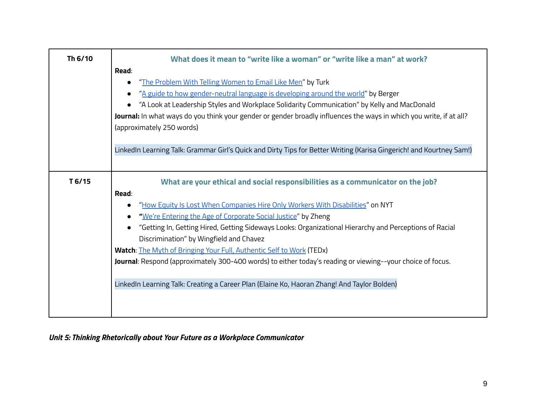| Th 6/10           | What does it mean to "write like a woman" or "write like a man" at work?                                             |
|-------------------|----------------------------------------------------------------------------------------------------------------------|
|                   | Read:                                                                                                                |
|                   | "The Problem With Telling Women to Email Like Men" by Turk<br>$\bullet$                                              |
|                   | "A guide to how gender-neutral language is developing around the world" by Berger                                    |
|                   | "A Look at Leadership Styles and Workplace Solidarity Communication" by Kelly and MacDonald                          |
|                   | Journal: In what ways do you think your gender or gender broadly influences the ways in which you write, if at all?  |
|                   | (approximately 250 words)                                                                                            |
|                   |                                                                                                                      |
|                   | LinkedIn Learning Talk: Grammar Girl's Quick and Dirty Tips for Better Writing (Karisa Gingerich! and Kourtney Sam!) |
|                   |                                                                                                                      |
| T <sub>6/15</sub> | What are your ethical and social responsibilities as a communicator on the job?                                      |
|                   | Read:                                                                                                                |
|                   | "How Equity Is Lost When Companies Hire Only Workers With Disabilities" on NYT<br>$\bullet$                          |
|                   | "We're Entering the Age of Corporate Social Justice" by Zheng<br>$\bullet$                                           |
|                   | "Getting In, Getting Hired, Getting Sideways Looks: Organizational Hierarchy and Perceptions of Racial<br>$\bullet$  |
|                   | Discrimination" by Wingfield and Chavez                                                                              |
|                   | Watch: The Myth of Bringing Your Full, Authentic Self to Work (TEDx)                                                 |
|                   | Journal: Respond (approximately 300-400 words) to either today's reading or viewing--your choice of focus.           |
|                   |                                                                                                                      |
|                   | LinkedIn Learning Talk: Creating a Career Plan (Elaine Ko, Haoran Zhang! And Taylor Bolden)                          |
|                   |                                                                                                                      |
|                   |                                                                                                                      |
|                   |                                                                                                                      |

# *Unit 5: Thinking Rhetorically about Your Future as a Workplace Communicator*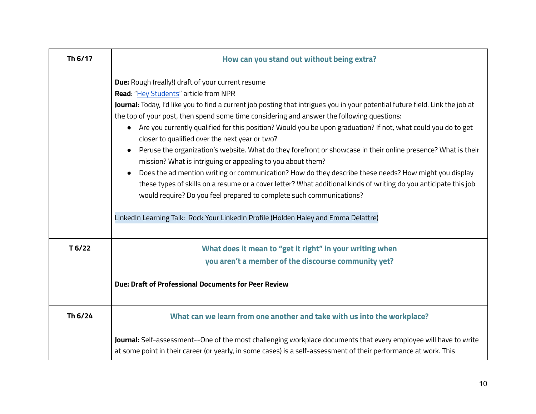| Th 6/17           | How can you stand out without being extra?                                                                                                                                                                                                                                                                                                                                                                                                                                                                                                                                                                                                                                                                                                                                                                                                                                                                                                                                                                               |
|-------------------|--------------------------------------------------------------------------------------------------------------------------------------------------------------------------------------------------------------------------------------------------------------------------------------------------------------------------------------------------------------------------------------------------------------------------------------------------------------------------------------------------------------------------------------------------------------------------------------------------------------------------------------------------------------------------------------------------------------------------------------------------------------------------------------------------------------------------------------------------------------------------------------------------------------------------------------------------------------------------------------------------------------------------|
|                   | Due: Rough (really!) draft of your current resume<br>Read: "Hey Students" article from NPR<br>Journal: Today, I'd like you to find a current job posting that intrigues you in your potential future field. Link the job at<br>the top of your post, then spend some time considering and answer the following questions:<br>Are you currently qualified for this position? Would you be upon graduation? If not, what could you do to get<br>$\bullet$<br>closer to qualified over the next year or two?<br>Peruse the organization's website. What do they forefront or showcase in their online presence? What is their<br>$\bullet$<br>mission? What is intriguing or appealing to you about them?<br>Does the ad mention writing or communication? How do they describe these needs? How might you display<br>$\bullet$<br>these types of skills on a resume or a cover letter? What additional kinds of writing do you anticipate this job<br>would require? Do you feel prepared to complete such communications? |
|                   | LinkedIn Learning Talk: Rock Your LinkedIn Profile (Holden Haley and Emma Delattre)                                                                                                                                                                                                                                                                                                                                                                                                                                                                                                                                                                                                                                                                                                                                                                                                                                                                                                                                      |
| T <sub>6/22</sub> | What does it mean to "get it right" in your writing when<br>you aren't a member of the discourse community yet?<br>Due: Draft of Professional Documents for Peer Review                                                                                                                                                                                                                                                                                                                                                                                                                                                                                                                                                                                                                                                                                                                                                                                                                                                  |
| Th 6/24           | What can we learn from one another and take with us into the workplace?                                                                                                                                                                                                                                                                                                                                                                                                                                                                                                                                                                                                                                                                                                                                                                                                                                                                                                                                                  |
|                   | Journal: Self-assessment--One of the most challenging workplace documents that every employee will have to write<br>at some point in their career (or yearly, in some cases) is a self-assessment of their performance at work. This                                                                                                                                                                                                                                                                                                                                                                                                                                                                                                                                                                                                                                                                                                                                                                                     |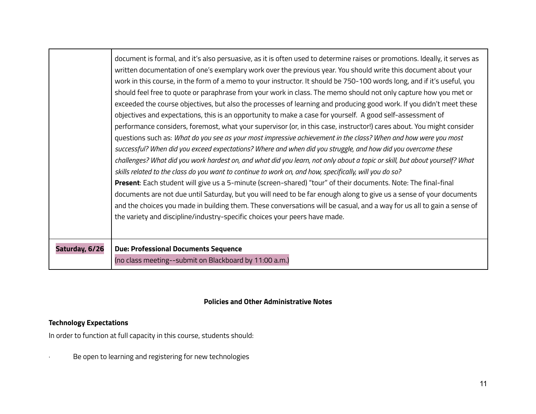|                | document is formal, and it's also persuasive, as it is often used to determine raises or promotions. Ideally, it serves as<br>written documentation of one's exemplary work over the previous year. You should write this document about your<br>work in this course, in the form of a memo to your instructor. It should be 750-100 words long, and if it's useful, you<br>should feel free to quote or paraphrase from your work in class. The memo should not only capture how you met or<br>exceeded the course objectives, but also the processes of learning and producing good work. If you didn't meet these<br>objectives and expectations, this is an opportunity to make a case for yourself. A good self-assessment of<br>performance considers, foremost, what your supervisor (or, in this case, instructor!) cares about. You might consider<br>questions such as: What do you see as your most impressive achievement in the class? When and how were you most<br>successful? When did you exceed expectations? Where and when did you struggle, and how did you overcome these<br>challenges? What did you work hardest on, and what did you learn, not only about a topic or skill, but about yourself? What<br>skills related to the class do you want to continue to work on, and how, specifically, will you do so?<br>Present: Each student will give us a 5-minute (screen-shared) "tour" of their documents. Note: The final-final<br>documents are not due until Saturday, but you will need to be far enough along to give us a sense of your documents<br>and the choices you made in building them. These conversations will be casual, and a way for us all to gain a sense of<br>the variety and discipline/industry-specific choices your peers have made. |
|----------------|-------------------------------------------------------------------------------------------------------------------------------------------------------------------------------------------------------------------------------------------------------------------------------------------------------------------------------------------------------------------------------------------------------------------------------------------------------------------------------------------------------------------------------------------------------------------------------------------------------------------------------------------------------------------------------------------------------------------------------------------------------------------------------------------------------------------------------------------------------------------------------------------------------------------------------------------------------------------------------------------------------------------------------------------------------------------------------------------------------------------------------------------------------------------------------------------------------------------------------------------------------------------------------------------------------------------------------------------------------------------------------------------------------------------------------------------------------------------------------------------------------------------------------------------------------------------------------------------------------------------------------------------------------------------------------------------------------------------------------------------------------------------------------------------|
| Saturday, 6/26 | <b>Due: Professional Documents Sequence</b><br>(no class meeting--submit on Blackboard by 11:00 a.m.)                                                                                                                                                                                                                                                                                                                                                                                                                                                                                                                                                                                                                                                                                                                                                                                                                                                                                                                                                                                                                                                                                                                                                                                                                                                                                                                                                                                                                                                                                                                                                                                                                                                                                     |

# **Policies and Other Administrative Notes**

# **Technology Expectations**

In order to function at full capacity in this course, students should:

· Be open to learning and registering for new technologies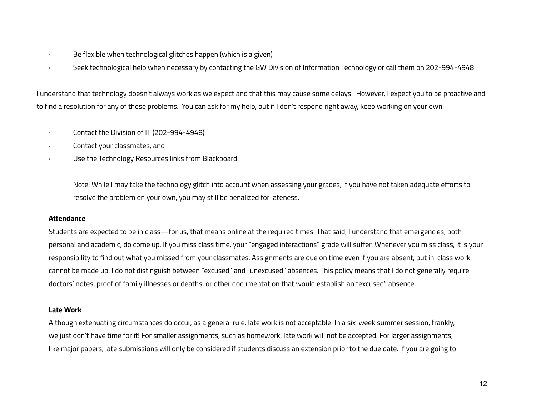- · Be flexible when technological glitches happen (which is a given)
- · Seek technological help when necessary by contacting the GW Division of [Information](http://itsupport.gwu.edu) Technology or call them on 202-994-4948

I understand that technology doesn't always work as we expect and that this may cause some delays. However, I expect you to be proactive and to find a resolution for any of these problems. You can ask for my help, but if I don't respond right away, keep working on your own:

- · Contact the Division of IT (202-994-4948)
- · Contact your classmates, and
- Use the Technology Resources links from Blackboard.

Note: While I may take the technology glitch into account when assessing your grades, if you have not taken adequate efforts to resolve the problem on your own, you may still be penalized for lateness.

## **Attendance**

Students are expected to be in class—for us, that means online at the required times. That said, I understand that emergencies, both personal and academic, do come up. If you miss class time, your "engaged interactions" grade will suffer. Whenever you miss class, it is your responsibility to find out what you missed from your classmates. Assignments are due on time even if you are absent, but in-class work cannot be made up. I do not distinguish between "excused" and "unexcused" absences. This policy means that I do not generally require doctors' notes, proof of family illnesses or deaths, or other documentation that would establish an "excused" absence.

## **Late Work**

Although extenuating circumstances do occur, as a general rule, late work is not acceptable. In a six-week summer session, frankly, we just don't have time for it! For smaller assignments, such as homework, late work will not be accepted. For larger assignments, like major papers, late submissions will only be considered if students discuss an extension prior to the due date. If you are going to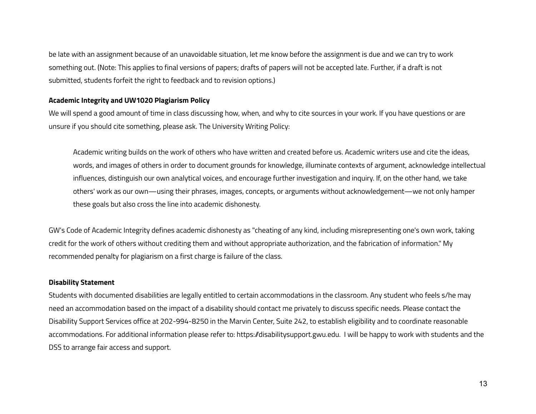be late with an assignment because of an unavoidable situation, let me know before the assignment is due and we can try to work something out. (Note: This applies to final versions of papers; drafts of papers will not be accepted late. Further, if a draft is not submitted, students forfeit the right to feedback and to revision options.)

### **Academic Integrity and UW1020 Plagiarism Policy**

We will spend a good amount of time in class discussing how, when, and why to cite sources in your work. If you have questions or are unsure if you should cite something, please ask. The University Writing Policy:

Academic writing builds on the work of others who have written and created before us. Academic writers use and cite the ideas, words, and images of others in order to document grounds for knowledge, illuminate contexts of argument, acknowledge intellectual influences, distinguish our own analytical voices, and encourage further investigation and inquiry. If, on the other hand, we take others' work as our own—using their phrases, images, concepts, or arguments without acknowledgement—we not only hamper these goals but also cross the line into academic dishonesty.

GW's Code of Academic Integrity defines academic dishonesty as "cheating of any kind, including misrepresenting one's own work, taking credit for the work of others without crediting them and without appropriate authorization, and the fabrication of information." My recommended penalty for plagiarism on a first charge is failure of the class.

## **Disability Statement**

Students with documented disabilities are legally entitled to certain accommodations in the classroom. Any student who feels s/he may need an accommodation based on the impact of a disability should contact me privately to discuss specific needs. Please contact the Disability Support Services office at 202-994-8250 in the Marvin Center, Suite 242, to establish eligibility and to coordinate reasonable accommodations. For additional information please refer to: [https:/disabilitysupport.gwu.edu](https://disabilitysupport.gwu.edu/). I will be happy to work with students and the DSS to arrange fair access and support.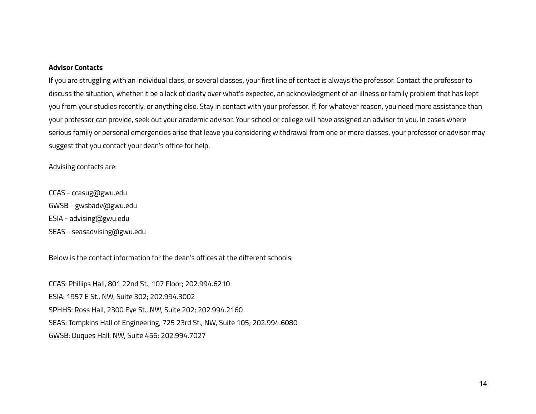#### **Advisor Contacts**

If you are struggling with an individual class, or several classes, your first line of contact is always the professor. Contact the professor to discuss the situation, whether it be a lack of clarity over what's expected, an acknowledgment of an illness or family problem that has kept you from your studies recently, or anything else. Stay in contact with your professor. If, for whatever reason, you need more assistance than your professor can provide, seek out your academic advisor. Your school or college will have assigned an advisor to you. In cases where serious family or personal emergencies arise that leave you considering withdrawal from one or more classes, your professor or advisor may suggest that you contact your dean's office for help.

Advising contacts are:

CCAS - ccasug@gwu.edu GWSB - gwsbadv@gwu.edu ESIA - advising@gwu.edu SEAS - seasadvising@gwu.edu

Below is the contact information for the dean's offices at the different schools:

CCAS: Phillips Hall, 801 22nd St., 107 Floor; 202.994.6210 ESIA: 1957 E St., NW, Suite 302; 202.994.3002 SPHHS: Ross Hall, 2300 Eye St., NW, Suite 202; 202.994.2160 SEAS: Tompkins Hall of Engineering, 725 23rd St., NW, Suite 105; 202.994.6080 GWSB: Duques Hall, NW, Suite 456; 202.994.7027